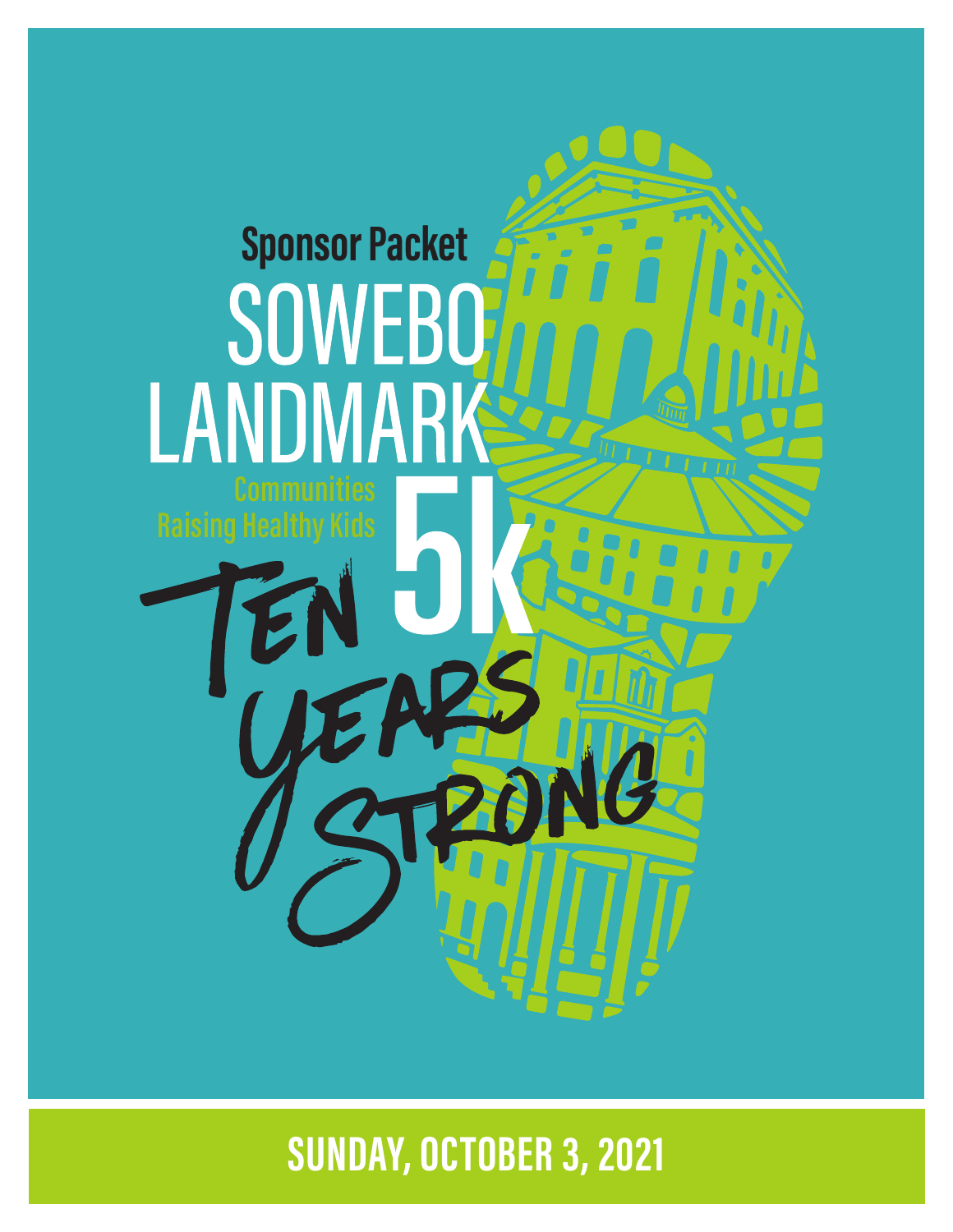

**SUNDAY, OCTOBER 3, 2021**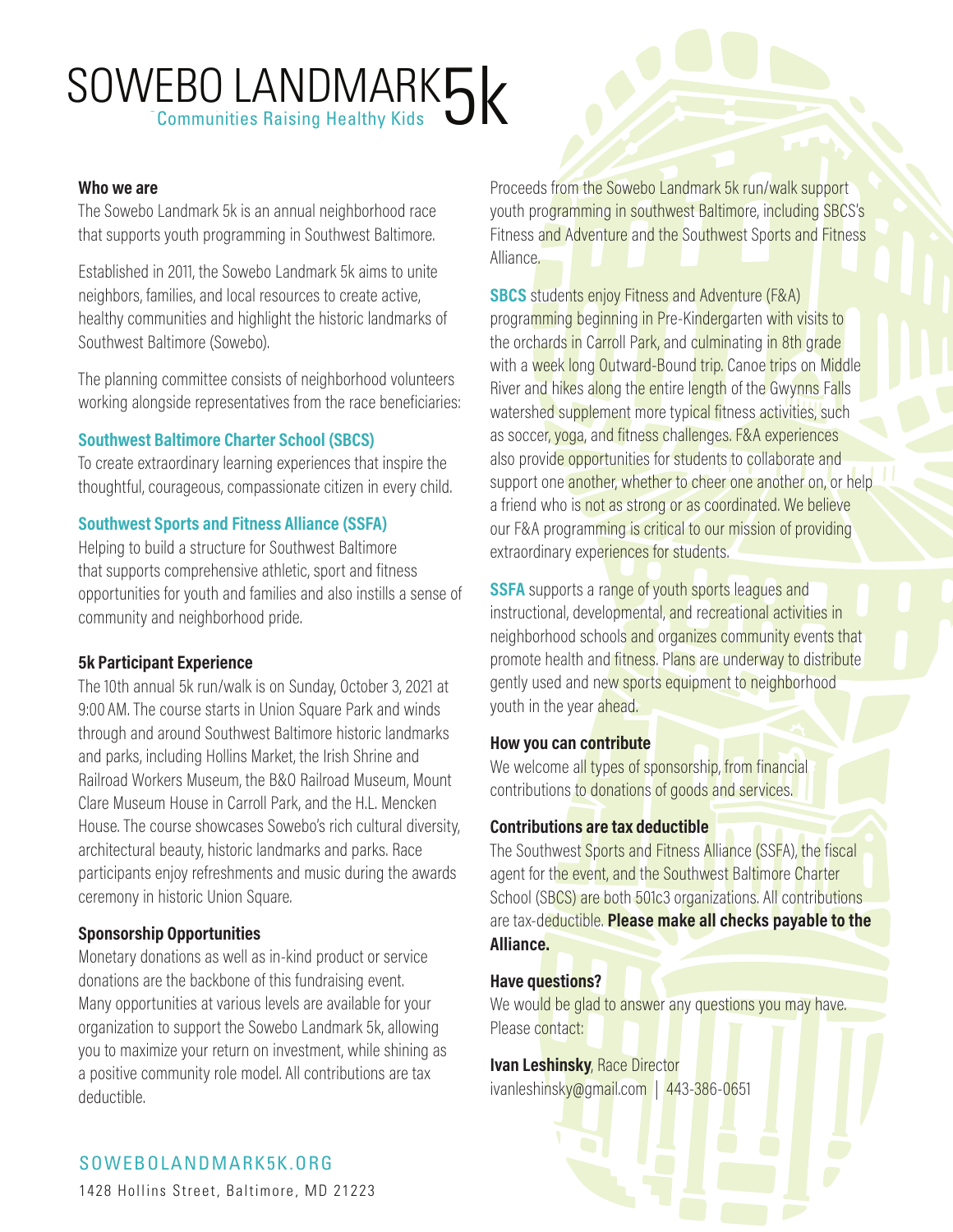# SOWEBO LANDMARK5

### **Who we are**

The Sowebo Landmark 5k is an annual neighborhood race that supports youth programming in Southwest Baltimore.

Established in 2011, the Sowebo Landmark 5k aims to unite neighbors, families, and local resources to create active, healthy communities and highlight the historic landmarks of Southwest Baltimore (Sowebo).

The planning committee consists of neighborhood volunteers working alongside representatives from the race beneficiaries:

### **Southwest Baltimore Charter School (SBCS)**

To create extraordinary learning experiences that inspire the thoughtful, courageous, compassionate citizen in every child.

#### **Southwest Sports and Fitness Alliance (SSFA)**

Helping to build a structure for Southwest Baltimore that supports comprehensive athletic, sport and fitness opportunities for youth and families and also instills a sense of community and neighborhood pride.

#### **5k Participant Experience**

The 10th annual 5k run/walk is on Sunday, October 3, 2021 at 9:00 AM. The course starts in Union Square Park and winds through and around Southwest Baltimore historic landmarks and parks, including Hollins Market, the Irish Shrine and Railroad Workers Museum, the B&O Railroad Museum, Mount Clare Museum House in Carroll Park, and the H.L. Mencken House. The course showcases Sowebo's rich cultural diversity, architectural beauty, historic landmarks and parks. Race participants enjoy refreshments and music during the awards ceremony in historic Union Square.

# **Sponsorship Opportunities**

Monetary donations as well as in-kind product or service donations are the backbone of this fundraising event. Many opportunities at various levels are available for your organization to support the Sowebo Landmark 5k, allowing you to maximize your return on investment, while shining as a positive community role model. All contributions are tax deductible.

Proceeds from the Sowebo Landmark 5k run/walk support youth programming in southwest Baltimore, including SBCS's Fitness and Adventure and the Southwest Sports and Fitness Alliance.

**SBCS** students enjoy Fitness and Adventure (F&A) programming beginning in Pre-Kindergarten with visits to the orchards in Carroll Park, and culminating in 8th grade with a week long Outward-Bound trip. Canoe trips on Middle River and hikes along the entire length of the Gwynns Falls watershed supplement more typical fitness activities, such as soccer, yoga, and fitness challenges. F&A experiences also provide opportunities for students to collaborate and support one another, whether to cheer one another on, or help a friend who is not as strong or as coordinated. We believe our F&A programming is critical to our mission of providing extraordinary experiences for students.

**SSFA** supports a range of youth sports leagues and instructional, developmental, and recreational activities in neighborhood schools and organizes community events that promote health and fitness. Plans are underway to distribute gently used and new sports equipment to neighborhood youth in the year ahead.

# **How you can contribute**

We welcome all types of sponsorship, from financial contributions to donations of goods and services.

#### **Contributions are tax deductible**

The Southwest Sports and Fitness Alliance (SSFA), the fiscal agent for the event, and the Southwest Baltimore Charter School (SBCS) are both 501c3 organizations. All contributions are tax-deductible. **Please make all checks payable to the Alliance.**

#### **Have questions?**

We would be glad to answer any questions you may have. Please contact:

#### **Ivan Leshinsky, Race Director** ivanleshinsky@gmail.com | 443-386-0651

# SOWEBOLANDMARK5K.ORG SOWEBOLANDMARK5K.ORG

1428 Hollins Street, Baltimore, MD 21223 1428 Hollins Street, Baltimore, MD 21223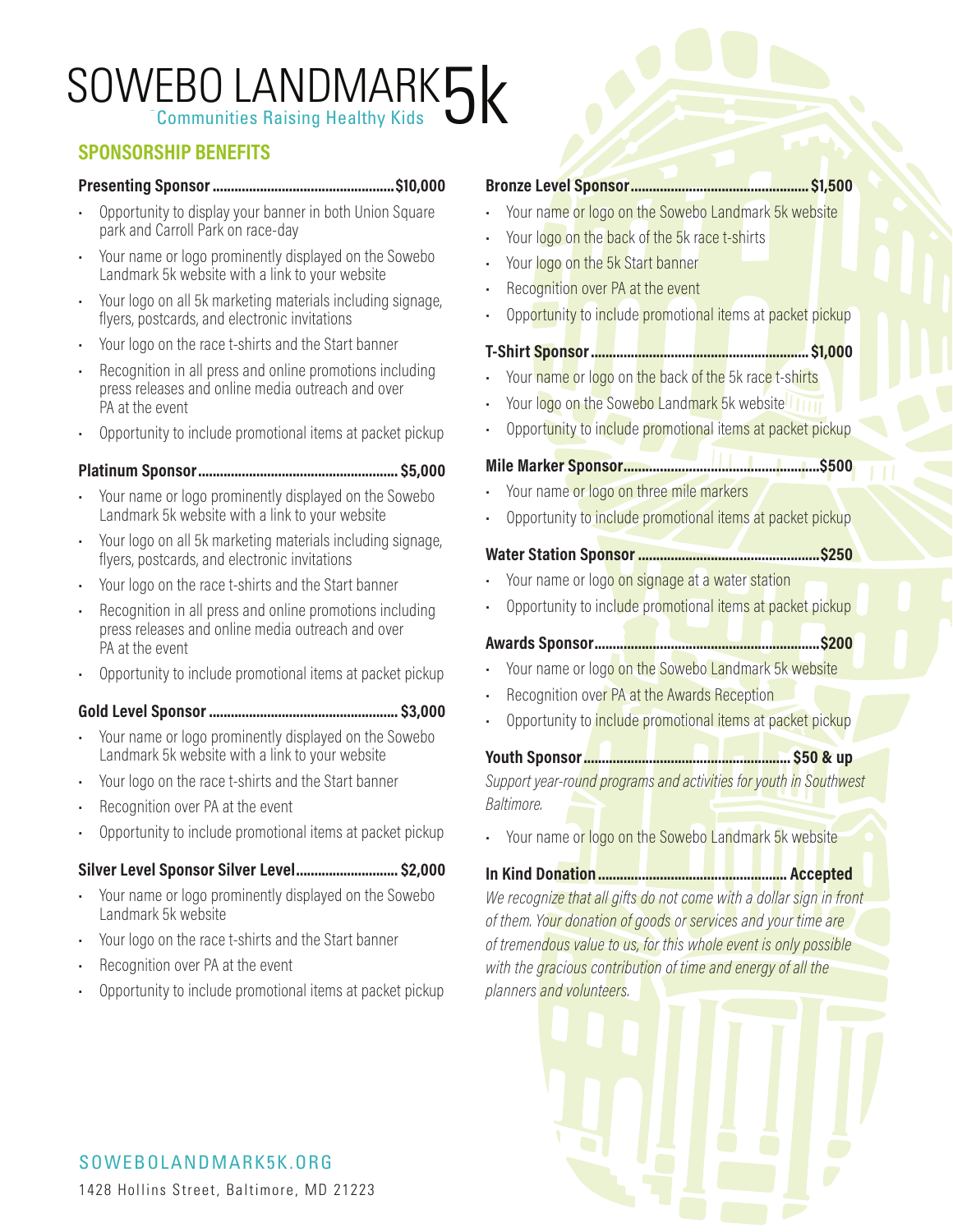# SOWEBO LANDMARK5

# **SPONSORSHIP BENEFITS**

#### **Presenting Sponsor..................................................\$10,000**

- Opportunity to display your banner in both Union Square park and Carroll Park on race-day
- Your name or logo prominently displayed on the Sowebo Landmark 5k website with a link to your website
- Your logo on all 5k marketing materials including signage, flyers, postcards, and electronic invitations
- Your logo on the race t-shirts and the Start banner
- Recognition in all press and online promotions including press releases and online media outreach and over PA at the event
- Opportunity to include promotional items at packet pickup

#### **Platinum Sponsor....................................................... \$5,000**

- Your name or logo prominently displayed on the Sowebo Landmark 5k website with a link to your website
- Your logo on all 5k marketing materials including signage, flyers, postcards, and electronic invitations
- Your logo on the race t-shirts and the Start banner
- Recognition in all press and online promotions including press releases and online media outreach and over PA at the event
- Opportunity to include promotional items at packet pickup

#### **Gold Level Sponsor .................................................... \$3,000**

- Your name or logo prominently displayed on the Sowebo Landmark 5k website with a link to your website
- Your logo on the race t-shirts and the Start banner
- Recognition over PA at the event
- Opportunity to include promotional items at packet pickup

# **Silver Level Sponsor Silver Level............................ \$2,000**

- Your name or logo prominently displayed on the Sowebo Landmark 5k website
- Your logo on the race t-shirts and the Start banner
- Recognition over PA at the event
- Opportunity to include promotional items at packet pickup

#### **Bronze Level Sponsor................................................. \$1,500**

- Your name or logo on the Sowebo Landmark 5k website
- Your logo on the back of the 5k race t-shirts
- Your logo on the 5k Start banner
- Recognition over PA at the event
- Opportunity to include promotional items at packet pickup

#### **T-Shirt Sponsor............................................................ \$1,000**

- Your name or logo on the back of the 5k race t-shirts
- Your logo on the Sowebo Landmark 5k website
- Opportunity to include promotional items at packet pickup

### **Mile Marker Sponsor......................................................\$500**

- Your name or logo on three mile markers
- Opportunity to include promotional items at packet pickup

#### **Water Station Sponsor ..................................................\$250**

- Your name or logo on signage at a water station
- Opportunity to include promotional items at packet pickup

#### **Awards Sponsor..............................................................\$200**

- 
- Your name or logo on the Sowebo Landmark 5k website
- Recognition over PA at the Awards Reception
- Opportunity to include promotional items at packet pickup

# **Youth Sponsor......................................................... \$50 & up**

*Support year-round programs and activities for youth in Southwest Baltimore.*

• Your name or logo on the Sowebo Landmark 5k website

#### **In Kind Donation.................................................... Accepted**

*We recognize that all gifts do not come with a dollar sign in front of them. Your donation of goods or services and your time are of tremendous value to us, for this whole event is only possible with the gracious contribution of time and energy of all the planners and volunteers.*



# SOWEBOLANDMARK5K.ORG SOWEBOLANDMARK5K.ORG 1428 Hollins Street, Baltimore, MD 21223 1428 Hollins Street, Baltimore, MD 21223